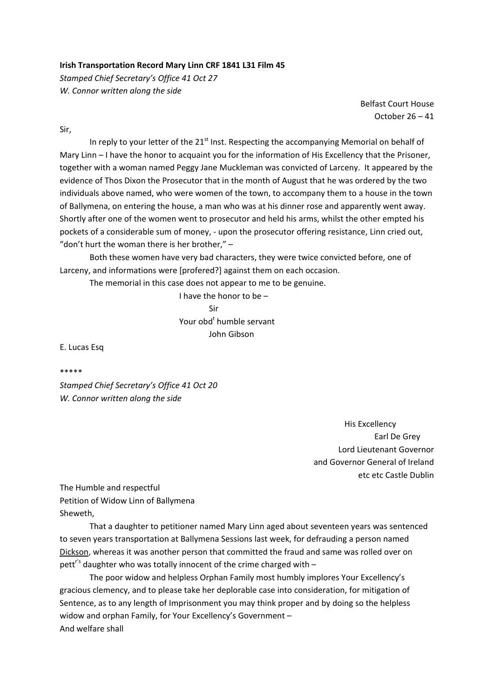## **Irish Transportation Record Mary Linn CRF 1841 L31 Film 45**

*Stamped Chief Secretary's Office 41 Oct 27 W. Connor written along the side*

> Belfast Court House October 26 – 41

Sir,

In reply to your letter of the  $21<sup>st</sup>$  Inst. Respecting the accompanying Memorial on behalf of Mary Linn – I have the honor to acquaint you for the information of His Excellency that the Prisoner, together with a woman named Peggy Jane Muckleman was convicted of Larceny. It appeared by the evidence of Thos Dixon the Prosecutor that in the month of August that he was ordered by the two individuals above named, who were women of the town, to accompany them to a house in the town of Ballymena, on entering the house, a man who was at his dinner rose and apparently went away. Shortly after one of the women went to prosecutor and held his arms, whilst the other empted his pockets of a considerable sum of money, ‐ upon the prosecutor offering resistance, Linn cried out, "don't hurt the woman there is her brother,"  $-$ 

Both these women have very bad characters, they were twice convicted before, one of Larceny, and informations were [profered?] against them on each occasion.

The memorial in this case does not appear to me to be genuine.

 I have the honor to be – Sir Your obd<sup>t</sup> humble servant John Gibson

E. Lucas Esq

## \*\*\*\*\*

*Stamped Chief Secretary's Office 41 Oct 20 W. Connor written along the side*

> His Excellency Earl De Grey Lord Lieutenant Governor and Governor General of Ireland etc etc Castle Dublin

The Humble and respectful Petition of Widow Linn of Ballymena Sheweth,

That a daughter to petitioner named Mary Linn aged about seventeen years was sentenced to seven years transportation at Ballymena Sessions last week, for defrauding a person named Dickson, whereas it was another person that committed the fraud and same was rolled over on pett<sup>r's</sup> daughter who was totally innocent of the crime charged with  $-$ 

The poor widow and helpless Orphan Family most humbly implores Your Excellency's gracious clemency, and to please take her deplorable case into consideration, for mitigation of Sentence, as to any length of Imprisonment you may think proper and by doing so the helpless widow and orphan Family, for Your Excellency's Government – And welfare shall